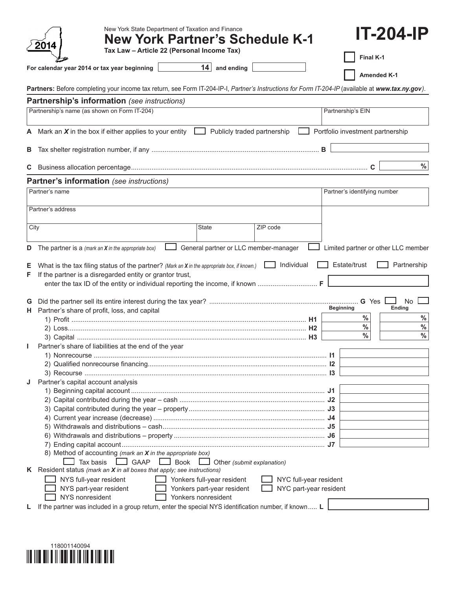|         | New York State Department of Taxation and Finance<br><b>New York Partner's Schedule K-1</b><br>2014<br>Tax Law - Article 22 (Personal Income Tax)  |                        | <b>IT-204-IP</b>                    |
|---------|----------------------------------------------------------------------------------------------------------------------------------------------------|------------------------|-------------------------------------|
|         |                                                                                                                                                    |                        | Final K-1                           |
|         | $14$ and ending<br>For calendar year 2014 or tax year beginning                                                                                    |                        | <b>Amended K-1</b>                  |
|         | Partners: Before completing your income tax return, see Form IT-204-IP-I, Partner's Instructions for Form IT-204-IP (available at www.tax.ny.gov). |                        |                                     |
|         | Partnership's information (see instructions)                                                                                                       |                        |                                     |
|         | Partnership's name (as shown on Form IT-204)                                                                                                       | Partnership's EIN      |                                     |
| A       | Mark an $X$ in the box if either applies to your entity $\Box$<br>Publicly traded partnership                                                      |                        | Portfolio investment partnership    |
| В       |                                                                                                                                                    |                        |                                     |
| C       |                                                                                                                                                    |                        | $\frac{9}{6}$                       |
|         | Partner's information (see instructions)                                                                                                           |                        |                                     |
|         | Partner's name                                                                                                                                     |                        | Partner's identifying number        |
|         |                                                                                                                                                    |                        |                                     |
|         | Partner's address                                                                                                                                  |                        |                                     |
|         | ZIP code<br>City<br>State                                                                                                                          |                        |                                     |
|         |                                                                                                                                                    |                        |                                     |
| D       | General partner or LLC member-manager<br>The partner is a (mark an $X$ in the appropriate box)                                                     |                        | Limited partner or other LLC member |
| Е<br>F. | Individual<br>What is the tax filing status of the partner? (Mark an X in the appropriate box, if known.)                                          |                        | Estate/trust<br>Partnership         |
|         | If the partner is a disregarded entity or grantor trust,                                                                                           |                        |                                     |
| G       |                                                                                                                                                    |                        | G Yes<br>No                         |
| н.      | Partner's share of profit, loss, and capital                                                                                                       | <b>Beginning</b>       | Ending                              |
|         |                                                                                                                                                    |                        | $\%$<br>$\%$                        |
|         |                                                                                                                                                    |                        | $\%$<br>$\%$<br>$\%$<br>$\%$        |
|         | Partner's share of liabilities at the end of the year                                                                                              |                        |                                     |
|         |                                                                                                                                                    | 11                     |                                     |
|         |                                                                                                                                                    |                        |                                     |
|         |                                                                                                                                                    |                        |                                     |
| J       | Partner's capital account analysis                                                                                                                 |                        |                                     |
|         |                                                                                                                                                    |                        |                                     |
|         |                                                                                                                                                    |                        |                                     |
|         |                                                                                                                                                    |                        |                                     |
|         |                                                                                                                                                    |                        |                                     |
|         |                                                                                                                                                    |                        |                                     |
|         |                                                                                                                                                    |                        |                                     |
|         | 8) Method of accounting (mark an X in the appropriate box)                                                                                         |                        |                                     |
|         | $\Box$ GAAP $\Box$ Book<br>Tax basis<br>$\Box$ Other (submit explanation)                                                                          |                        |                                     |
|         | K Resident status (mark an $X$ in all boxes that apply; see instructions)<br>NYS full-year resident<br>Yonkers full-year resident                  | NYC full-year resident |                                     |
|         | NYS part-year resident<br>Yonkers part-year resident                                                                                               | NYC part-year resident |                                     |
|         | NYS nonresident<br>Yonkers nonresident<br>If the partner was included in a group return, enter the special NYS identification number, if known L   |                        |                                     |

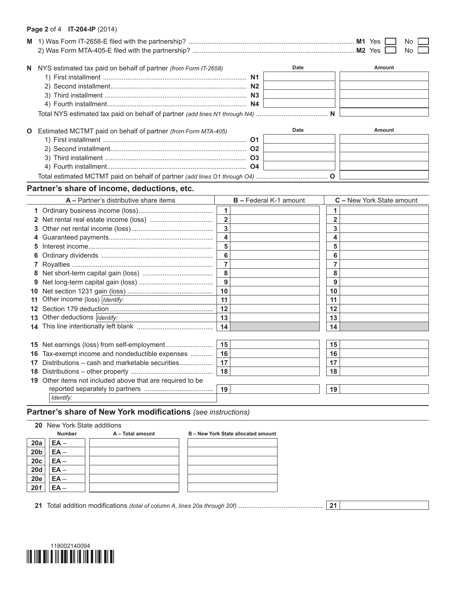## **Page 2** of 4 **IT-204-IP** (2014)

|    |                                                                   | No.<br>No.     |                               |                |                           |
|----|-------------------------------------------------------------------|----------------|-------------------------------|----------------|---------------------------|
|    | N NYS estimated tax paid on behalf of partner (from Form IT-2658) |                | Date                          |                | Amount                    |
|    | O Estimated MCTMT paid on behalf of partner (from Form MTA-405)   |                | Date                          |                | Amount                    |
|    | Partner's share of income, deductions, etc.                       |                |                               |                |                           |
|    | $A -$ Partner's distributive share items                          |                | <b>B</b> - Federal K-1 amount |                | C - New York State amount |
|    |                                                                   | 1              |                               | 1              |                           |
|    |                                                                   | $\overline{2}$ |                               | $\overline{2}$ |                           |
|    |                                                                   | 3              |                               | 3              |                           |
|    |                                                                   | 4              |                               | 4              |                           |
| 5. |                                                                   | 5              |                               | 5              |                           |
|    |                                                                   | 6              |                               | 6              |                           |
|    |                                                                   | $\overline{7}$ |                               | $\overline{7}$ |                           |
|    |                                                                   | 8              |                               | 8              |                           |
|    |                                                                   | 9              |                               | 9              |                           |
|    |                                                                   | 10             |                               | 10             |                           |
| 11 | Other income (loss)   Identify:                                   | 11             |                               | 11             |                           |
|    |                                                                   | 12             |                               | 12             |                           |
|    | 13 Other deductions <i>Identify:</i>                              | 13             |                               | 13             |                           |
|    |                                                                   | 14             |                               | 14             |                           |
|    |                                                                   |                |                               |                |                           |
|    |                                                                   | 15             |                               | 15             |                           |
|    | 16 Tax-exempt income and nondeductible expenses                   | 16             |                               | 16             |                           |
|    | 17 Distributions - cash and marketable securities                 | 17             |                               | 17             |                           |
|    |                                                                   | 18             |                               | 18             |                           |
|    | 19 Other items not included above that are required to be         |                |                               |                |                           |
|    |                                                                   | 19             |                               | 19             |                           |
|    | Identify:                                                         |                |                               |                |                           |

# **Partner's share of New York modifications** *(see instructions)*

| <b>Number</b> | A - Total amount | B - New York State allocated amount |
|---------------|------------------|-------------------------------------|
| $EA -$        |                  |                                     |
| $EA -$        |                  |                                     |
| $EA -$        |                  |                                     |
| $EA -$        |                  |                                     |
| $EA -$        |                  |                                     |
|               |                  |                                     |
|               |                  | <b>20</b> New York State additions  |

**21** Total addition modifications *(total of column A, lines 20a through 20f)*.............................................. **21**

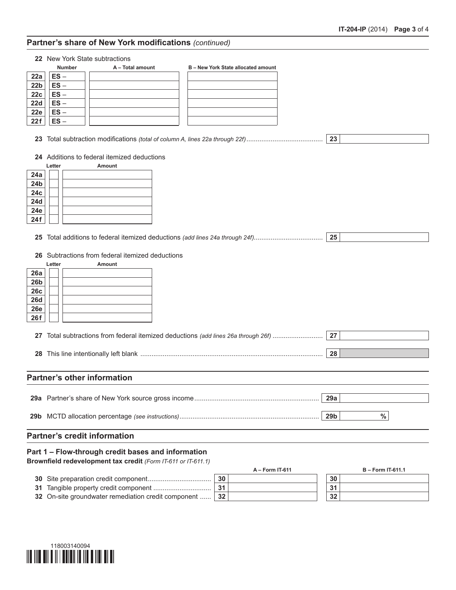# **Partner's share of New York modifications** *(continued)*

|                 | 22 New York State subtractions                                                                                      |                        |
|-----------------|---------------------------------------------------------------------------------------------------------------------|------------------------|
|                 | <b>Number</b><br>A - Total amount<br>B - New York State allocated amount                                            |                        |
| 22a             | $ES -$                                                                                                              |                        |
| 22 <sub>b</sub> | $ES -$                                                                                                              |                        |
| 22c             | $ES -$                                                                                                              |                        |
| <b>22d</b>      | $ES -$                                                                                                              |                        |
| 22e             | $ES -$                                                                                                              |                        |
| 22f             | $ES -$                                                                                                              |                        |
|                 |                                                                                                                     |                        |
| 23              |                                                                                                                     | 23                     |
|                 | 24 Additions to federal itemized deductions                                                                         |                        |
|                 | Letter<br>Amount                                                                                                    |                        |
| 24a             |                                                                                                                     |                        |
| 24 <sub>b</sub> |                                                                                                                     |                        |
| 24c             |                                                                                                                     |                        |
| 24d             |                                                                                                                     |                        |
| 24e             |                                                                                                                     |                        |
| 24f             |                                                                                                                     |                        |
|                 |                                                                                                                     | 25                     |
|                 | 26 Subtractions from federal itemized deductions                                                                    |                        |
|                 | Letter<br><b>Amount</b>                                                                                             |                        |
| 26a             |                                                                                                                     |                        |
| 26 <sub>b</sub> |                                                                                                                     |                        |
| 26c             |                                                                                                                     |                        |
| <b>26d</b>      |                                                                                                                     |                        |
| <b>26e</b>      |                                                                                                                     |                        |
| 26f             |                                                                                                                     |                        |
|                 |                                                                                                                     |                        |
|                 | 27 Total subtractions from federal itemized deductions (add lines 26a through 26f)                                  | 27                     |
|                 |                                                                                                                     |                        |
|                 |                                                                                                                     | 28                     |
|                 |                                                                                                                     |                        |
|                 | <b>Partner's other information</b>                                                                                  |                        |
|                 |                                                                                                                     |                        |
|                 |                                                                                                                     | 29a                    |
|                 |                                                                                                                     | $\%$<br>29b            |
|                 |                                                                                                                     |                        |
|                 | <b>Partner's credit information</b>                                                                                 |                        |
|                 | Part 1 - Flow-through credit bases and information<br>Brownfield redevelopment tax credit (Form IT-611 or IT-611.1) |                        |
|                 | A - Form IT-611                                                                                                     | <b>B-Form IT-611.1</b> |
| 30              | 30                                                                                                                  | 30                     |
| 31              | 31                                                                                                                  | 31                     |
|                 | 32 On-site groundwater remediation credit component<br>32                                                           | 32                     |
|                 |                                                                                                                     |                        |